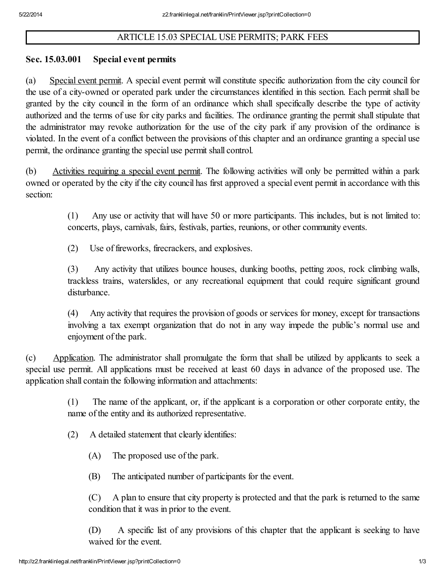## ARTICLE 15.03 SPECIAL USE PERMITS; PARK FEES

## Sec. 15.03.001 Special event permits

(a) Special event permit. A special event permit will constitute specific authorization from the city council for the use of a city-owned or operated park under the circumstances identified in this section. Each permit shall be granted by the city council in the form of an ordinance which shall specifically describe the type of activity authorized and the terms of use for city parks and facilities. The ordinance granting the permit shall stipulate that the administrator may revoke authorization for the use of the city park if any provision of the ordinance is violated. In the event of a conflict between the provisions of this chapter and an ordinance granting a special use permit, the ordinance granting the special use permit shall control.

(b) Activities requiring a special event permit. The following activities will only be permitted within a park owned or operated by the city if the city council has first approved a special event permit in accordance with this section:

> (1) Any use or activity that will have 50 or more participants. This includes, but is not limited to: concerts, plays, carnivals, fairs, festivals, parties, reunions, or other community events.

(2) Use of fireworks, firecrackers, and explosives.

(3) Any activity that utilizes bounce houses, dunking booths, petting zoos, rock climbing walls, trackless trains, waterslides, or any recreational equipment that could require significant ground disturbance.

(4) Any activity that requires the provision of goods or services for money, except for transactions involving a tax exempt organization that do not in any way impede the public's normal use and enjoyment of the park.

(c) Application. The administrator shall promulgate the form that shall be utilized by applicants to seek a special use permit. All applications must be received at least 60 days in advance of the proposed use. The application shall contain the following information and attachments:

> (1) The name of the applicant, or, if the applicant is a corporation or other corporate entity, the name of the entity and its authorized representative.

- (2) A detailed statement that clearly identifies:
	- (A) The proposed use of the park.
	- (B) The anticipated number of participants for the event.

(C) A plan to ensure that city property is protected and that the park is returned to the same condition that it was in prior to the event.

(D) A specific list of any provisions of this chapter that the applicant is seeking to have waived for the event.